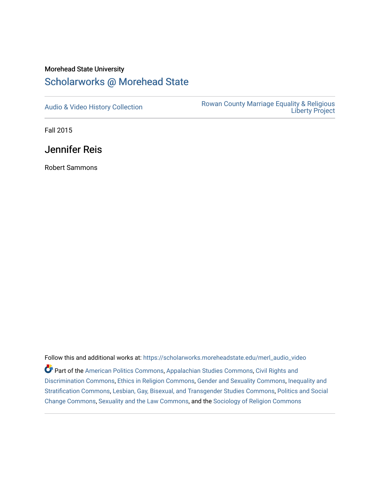## Morehead State University [Scholarworks @ Morehead State](https://scholarworks.moreheadstate.edu/)

[Audio & Video History Collection](https://scholarworks.moreheadstate.edu/merl_audio_video) **Rowan County Marriage Equality & Religious** [Liberty Project](https://scholarworks.moreheadstate.edu/merl) 

Fall 2015

Jennifer Reis

Robert Sammons

Follow this and additional works at: [https://scholarworks.moreheadstate.edu/merl\\_audio\\_video](https://scholarworks.moreheadstate.edu/merl_audio_video?utm_source=scholarworks.moreheadstate.edu%2Fmerl_audio_video%2F91&utm_medium=PDF&utm_campaign=PDFCoverPages)  Part of the [American Politics Commons,](http://network.bepress.com/hgg/discipline/387?utm_source=scholarworks.moreheadstate.edu%2Fmerl_audio_video%2F91&utm_medium=PDF&utm_campaign=PDFCoverPages) [Appalachian Studies Commons,](http://network.bepress.com/hgg/discipline/1253?utm_source=scholarworks.moreheadstate.edu%2Fmerl_audio_video%2F91&utm_medium=PDF&utm_campaign=PDFCoverPages) [Civil Rights and](http://network.bepress.com/hgg/discipline/585?utm_source=scholarworks.moreheadstate.edu%2Fmerl_audio_video%2F91&utm_medium=PDF&utm_campaign=PDFCoverPages) [Discrimination Commons,](http://network.bepress.com/hgg/discipline/585?utm_source=scholarworks.moreheadstate.edu%2Fmerl_audio_video%2F91&utm_medium=PDF&utm_campaign=PDFCoverPages) [Ethics in Religion Commons,](http://network.bepress.com/hgg/discipline/541?utm_source=scholarworks.moreheadstate.edu%2Fmerl_audio_video%2F91&utm_medium=PDF&utm_campaign=PDFCoverPages) [Gender and Sexuality Commons](http://network.bepress.com/hgg/discipline/420?utm_source=scholarworks.moreheadstate.edu%2Fmerl_audio_video%2F91&utm_medium=PDF&utm_campaign=PDFCoverPages), [Inequality and](http://network.bepress.com/hgg/discipline/421?utm_source=scholarworks.moreheadstate.edu%2Fmerl_audio_video%2F91&utm_medium=PDF&utm_campaign=PDFCoverPages)  [Stratification Commons](http://network.bepress.com/hgg/discipline/421?utm_source=scholarworks.moreheadstate.edu%2Fmerl_audio_video%2F91&utm_medium=PDF&utm_campaign=PDFCoverPages), [Lesbian, Gay, Bisexual, and Transgender Studies Commons,](http://network.bepress.com/hgg/discipline/560?utm_source=scholarworks.moreheadstate.edu%2Fmerl_audio_video%2F91&utm_medium=PDF&utm_campaign=PDFCoverPages) [Politics and Social](http://network.bepress.com/hgg/discipline/425?utm_source=scholarworks.moreheadstate.edu%2Fmerl_audio_video%2F91&utm_medium=PDF&utm_campaign=PDFCoverPages)  [Change Commons](http://network.bepress.com/hgg/discipline/425?utm_source=scholarworks.moreheadstate.edu%2Fmerl_audio_video%2F91&utm_medium=PDF&utm_campaign=PDFCoverPages), [Sexuality and the Law Commons,](http://network.bepress.com/hgg/discipline/877?utm_source=scholarworks.moreheadstate.edu%2Fmerl_audio_video%2F91&utm_medium=PDF&utm_campaign=PDFCoverPages) and the [Sociology of Religion Commons](http://network.bepress.com/hgg/discipline/1365?utm_source=scholarworks.moreheadstate.edu%2Fmerl_audio_video%2F91&utm_medium=PDF&utm_campaign=PDFCoverPages)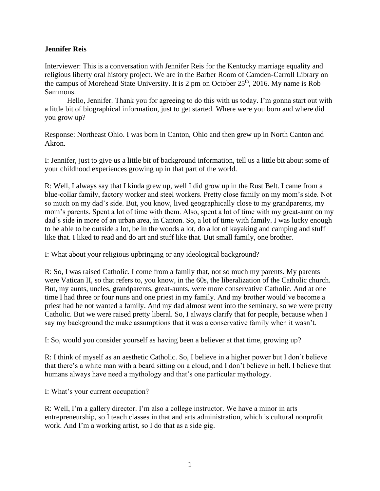## **Jennifer Reis**

Interviewer: This is a conversation with Jennifer Reis for the Kentucky marriage equality and religious liberty oral history project. We are in the Barber Room of Camden-Carroll Library on the campus of Morehead State University. It is 2 pm on October 25<sup>th</sup>, 2016. My name is Rob Sammons.

Hello, Jennifer. Thank you for agreeing to do this with us today. I'm gonna start out with a little bit of biographical information, just to get started. Where were you born and where did you grow up?

Response: Northeast Ohio. I was born in Canton, Ohio and then grew up in North Canton and Akron.

I: Jennifer, just to give us a little bit of background information, tell us a little bit about some of your childhood experiences growing up in that part of the world.

R: Well, I always say that I kinda grew up, well I did grow up in the Rust Belt. I came from a blue-collar family, factory worker and steel workers. Pretty close family on my mom's side. Not so much on my dad's side. But, you know, lived geographically close to my grandparents, my mom's parents. Spent a lot of time with them. Also, spent a lot of time with my great-aunt on my dad's side in more of an urban area, in Canton. So, a lot of time with family. I was lucky enough to be able to be outside a lot, be in the woods a lot, do a lot of kayaking and camping and stuff like that. I liked to read and do art and stuff like that. But small family, one brother.

I: What about your religious upbringing or any ideological background?

R: So, I was raised Catholic. I come from a family that, not so much my parents. My parents were Vatican II, so that refers to, you know, in the 60s, the liberalization of the Catholic church. But, my aunts, uncles, grandparents, great-aunts, were more conservative Catholic. And at one time I had three or four nuns and one priest in my family. And my brother would've become a priest had he not wanted a family. And my dad almost went into the seminary, so we were pretty Catholic. But we were raised pretty liberal. So, I always clarify that for people, because when I say my background the make assumptions that it was a conservative family when it wasn't.

I: So, would you consider yourself as having been a believer at that time, growing up?

R: I think of myself as an aesthetic Catholic. So, I believe in a higher power but I don't believe that there's a white man with a beard sitting on a cloud, and I don't believe in hell. I believe that humans always have need a mythology and that's one particular mythology.

I: What's your current occupation?

R: Well, I'm a gallery director. I'm also a college instructor. We have a minor in arts entrepreneurship, so I teach classes in that and arts administration, which is cultural nonprofit work. And I'm a working artist, so I do that as a side gig.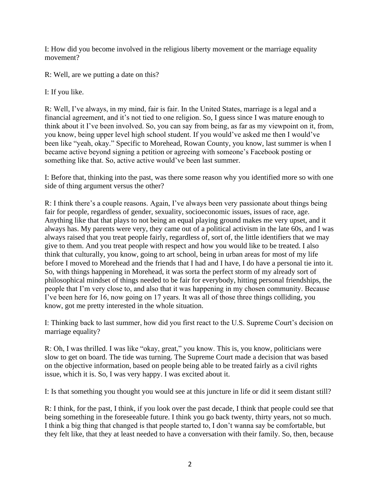I: How did you become involved in the religious liberty movement or the marriage equality movement?

R: Well, are we putting a date on this?

I: If you like.

R: Well, I've always, in my mind, fair is fair. In the United States, marriage is a legal and a financial agreement, and it's not tied to one religion. So, I guess since I was mature enough to think about it I've been involved. So, you can say from being, as far as my viewpoint on it, from, you know, being upper level high school student. If you would've asked me then I would've been like "yeah, okay." Specific to Morehead, Rowan County, you know, last summer is when I became active beyond signing a petition or agreeing with someone's Facebook posting or something like that. So, active active would've been last summer.

I: Before that, thinking into the past, was there some reason why you identified more so with one side of thing argument versus the other?

R: I think there's a couple reasons. Again, I've always been very passionate about things being fair for people, regardless of gender, sexuality, socioeconomic issues, issues of race, age. Anything like that that plays to not being an equal playing ground makes me very upset, and it always has. My parents were very, they came out of a political activism in the late 60s, and I was always raised that you treat people fairly, regardless of, sort of, the little identifiers that we may give to them. And you treat people with respect and how you would like to be treated. I also think that culturally, you know, going to art school, being in urban areas for most of my life before I moved to Morehead and the friends that I had and I have, I do have a personal tie into it. So, with things happening in Morehead, it was sorta the perfect storm of my already sort of philosophical mindset of things needed to be fair for everybody, hitting personal friendships, the people that I'm very close to, and also that it was happening in my chosen community. Because I've been here for 16, now going on 17 years. It was all of those three things colliding, you know, got me pretty interested in the whole situation.

I: Thinking back to last summer, how did you first react to the U.S. Supreme Court's decision on marriage equality?

R: Oh, I was thrilled. I was like "okay, great," you know. This is, you know, politicians were slow to get on board. The tide was turning. The Supreme Court made a decision that was based on the objective information, based on people being able to be treated fairly as a civil rights issue, which it is. So, I was very happy. I was excited about it.

I: Is that something you thought you would see at this juncture in life or did it seem distant still?

R: I think, for the past, I think, if you look over the past decade, I think that people could see that being something in the foreseeable future. I think you go back twenty, thirty years, not so much. I think a big thing that changed is that people started to, I don't wanna say be comfortable, but they felt like, that they at least needed to have a conversation with their family. So, then, because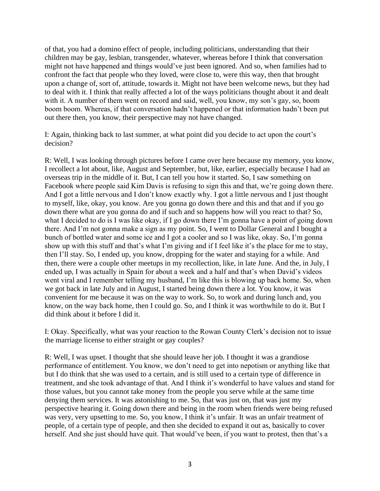of that, you had a domino effect of people, including politicians, understanding that their children may be gay, lesbian, transgender, whatever, whereas before I think that conversation might not have happened and things would've just been ignored. And so, when families had to confront the fact that people who they loved, were close to, were this way, then that brought upon a change of, sort of, attitude, towards it. Might not have been welcome news, but they had to deal with it. I think that really affected a lot of the ways politicians thought about it and dealt with it. A number of them went on record and said, well, you know, my son's gay, so, boom boom boom. Whereas, if that conversation hadn't happened or that information hadn't been put out there then, you know, their perspective may not have changed.

I: Again, thinking back to last summer, at what point did you decide to act upon the court's decision?

R: Well, I was looking through pictures before I came over here because my memory, you know, I recollect a lot about, like, August and September, but, like, earlier, especially because I had an overseas trip in the middle of it. But, I can tell you how it started. So, I saw something on Facebook where people said Kim Davis is refusing to sign this and that, we're going down there. And I got a little nervous and I don't know exactly why. I got a little nervous and I just thought to myself, like, okay, you know. Are you gonna go down there and this and that and if you go down there what are you gonna do and if such and so happens how will you react to that? So, what I decided to do is I was like okay, if I go down there I'm gonna have a point of going down there. And I'm not gonna make a sign as my point. So, I went to Dollar General and I bought a bunch of bottled water and some ice and I got a cooler and so I was like, okay. So, I'm gonna show up with this stuff and that's what I'm giving and if I feel like it's the place for me to stay, then I'll stay. So, I ended up, you know, dropping for the water and staying for a while. And then, there were a couple other meetups in my recollection, like, in late June. And the, in July, I ended up, I was actually in Spain for about a week and a half and that's when David's videos went viral and I remember telling my husband, I'm like this is blowing up back home. So, when we got back in late July and in August, I started being down there a lot. You know, it was convenient for me because it was on the way to work. So, to work and during lunch and, you know, on the way back home, then I could go. So, and I think it was worthwhile to do it. But I did think about it before I did it.

I: Okay. Specifically, what was your reaction to the Rowan County Clerk's decision not to issue the marriage license to either straight or gay couples?

R: Well, I was upset. I thought that she should leave her job. I thought it was a grandiose performance of entitlement. You know, we don't need to get into nepotism or anything like that but I do think that she was used to a certain, and is still used to a certain type of difference in treatment, and she took advantage of that. And I think it's wonderful to have values and stand for those values, but you cannot take money from the people you serve while at the same time denying them services. It was astonishing to me. So, that was just on, that was just my perspective hearing it. Going down there and being in the room when friends were being refused was very, very upsetting to me. So, you know, I think it's unfair. It was an unfair treatment of people, of a certain type of people, and then she decided to expand it out as, basically to cover herself. And she just should have quit. That would've been, if you want to protest, then that's a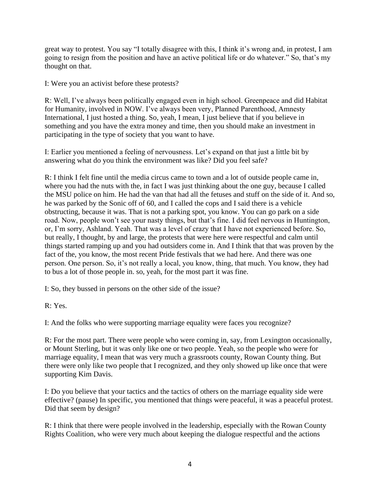great way to protest. You say "I totally disagree with this, I think it's wrong and, in protest, I am going to resign from the position and have an active political life or do whatever." So, that's my thought on that.

I: Were you an activist before these protests?

R: Well, I've always been politically engaged even in high school. Greenpeace and did Habitat for Humanity, involved in NOW. I've always been very, Planned Parenthood, Amnesty International, I just hosted a thing. So, yeah, I mean, I just believe that if you believe in something and you have the extra money and time, then you should make an investment in participating in the type of society that you want to have.

I: Earlier you mentioned a feeling of nervousness. Let's expand on that just a little bit by answering what do you think the environment was like? Did you feel safe?

R: I think I felt fine until the media circus came to town and a lot of outside people came in, where you had the nuts with the, in fact I was just thinking about the one guy, because I called the MSU police on him. He had the van that had all the fetuses and stuff on the side of it. And so, he was parked by the Sonic off of 60, and I called the cops and I said there is a vehicle obstructing, because it was. That is not a parking spot, you know. You can go park on a side road. Now, people won't see your nasty things, but that's fine. I did feel nervous in Huntington, or, I'm sorry, Ashland. Yeah. That was a level of crazy that I have not experienced before. So, but really, I thought, by and large, the protests that were here were respectful and calm until things started ramping up and you had outsiders come in. And I think that that was proven by the fact of the, you know, the most recent Pride festivals that we had here. And there was one person. One person. So, it's not really a local, you know, thing, that much. You know, they had to bus a lot of those people in. so, yeah, for the most part it was fine.

I: So, they bussed in persons on the other side of the issue?

R: Yes.

I: And the folks who were supporting marriage equality were faces you recognize?

R: For the most part. There were people who were coming in, say, from Lexington occasionally, or Mount Sterling, but it was only like one or two people. Yeah, so the people who were for marriage equality, I mean that was very much a grassroots county, Rowan County thing. But there were only like two people that I recognized, and they only showed up like once that were supporting Kim Davis.

I: Do you believe that your tactics and the tactics of others on the marriage equality side were effective? (pause) In specific, you mentioned that things were peaceful, it was a peaceful protest. Did that seem by design?

R: I think that there were people involved in the leadership, especially with the Rowan County Rights Coalition, who were very much about keeping the dialogue respectful and the actions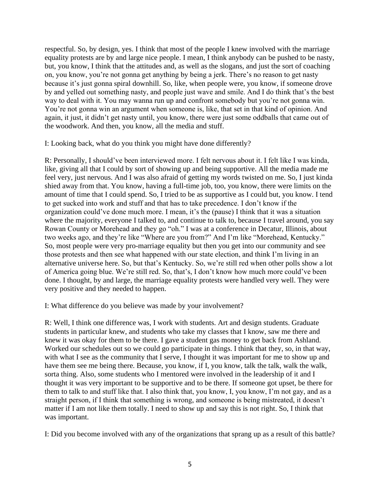respectful. So, by design, yes. I think that most of the people I knew involved with the marriage equality protests are by and large nice people. I mean, I think anybody can be pushed to be nasty, but, you know, I think that the attitudes and, as well as the slogans, and just the sort of coaching on, you know, you're not gonna get anything by being a jerk. There's no reason to get nasty because it's just gonna spiral downhill. So, like, when people were, you know, if someone drove by and yelled out something nasty, and people just wave and smile. And I do think that's the best way to deal with it. You may wanna run up and confront somebody but you're not gonna win. You're not gonna win an argument when someone is, like, that set in that kind of opinion. And again, it just, it didn't get nasty until, you know, there were just some oddballs that came out of the woodwork. And then, you know, all the media and stuff.

I: Looking back, what do you think you might have done differently?

R: Personally, I should've been interviewed more. I felt nervous about it. I felt like I was kinda, like, giving all that I could by sort of showing up and being supportive. All the media made me feel very, just nervous. And I was also afraid of getting my words twisted on me. So, I just kinda shied away from that. You know, having a full-time job, too, you know, there were limits on the amount of time that I could spend. So, I tried to be as supportive as I could but, you know. I tend to get sucked into work and stuff and that has to take precedence. I don't know if the organization could've done much more. I mean, it's the (pause) I think that it was a situation where the majority, everyone I talked to, and continue to talk to, because I travel around, you say Rowan County or Morehead and they go "oh." I was at a conference in Decatur, Illinois, about two weeks ago, and they're like "Where are you from?" And I'm like "Morehead, Kentucky." So, most people were very pro-marriage equality but then you get into our community and see those protests and then see what happened with our state election, and think I'm living in an alternative universe here. So, but that's Kentucky. So, we're still red when other polls show a lot of America going blue. We're still red. So, that's, I don't know how much more could've been done. I thought, by and large, the marriage equality protests were handled very well. They were very positive and they needed to happen.

I: What difference do you believe was made by your involvement?

R: Well, I think one difference was, I work with students. Art and design students. Graduate students in particular knew, and students who take my classes that I know, saw me there and knew it was okay for them to be there. I gave a student gas money to get back from Ashland. Worked our schedules out so we could go participate in things. I think that they, so, in that way, with what I see as the community that I serve, I thought it was important for me to show up and have them see me being there. Because, you know, if I, you know, talk the talk, walk the walk, sorta thing. Also, some students who I mentored were involved in the leadership of it and I thought it was very important to be supportive and to be there. If someone got upset, be there for them to talk to and stuff like that. I also think that, you know, I, you know, I'm not gay, and as a straight person, if I think that something is wrong, and someone is being mistreated, it doesn't matter if I am not like them totally. I need to show up and say this is not right. So, I think that was important.

I: Did you become involved with any of the organizations that sprang up as a result of this battle?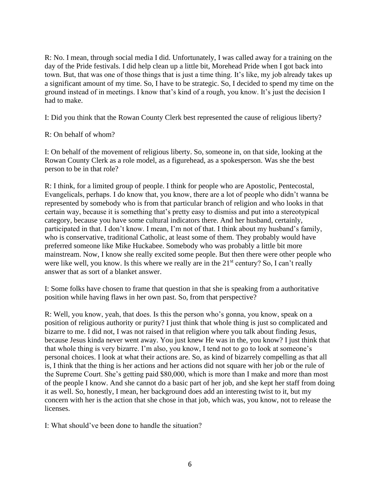R: No. I mean, through social media I did. Unfortunately, I was called away for a training on the day of the Pride festivals. I did help clean up a little bit, Morehead Pride when I got back into town. But, that was one of those things that is just a time thing. It's like, my job already takes up a significant amount of my time. So, I have to be strategic. So, I decided to spend my time on the ground instead of in meetings. I know that's kind of a rough, you know. It's just the decision I had to make.

I: Did you think that the Rowan County Clerk best represented the cause of religious liberty?

## R: On behalf of whom?

I: On behalf of the movement of religious liberty. So, someone in, on that side, looking at the Rowan County Clerk as a role model, as a figurehead, as a spokesperson. Was she the best person to be in that role?

R: I think, for a limited group of people. I think for people who are Apostolic, Pentecostal, Evangelicals, perhaps. I do know that, you know, there are a lot of people who didn't wanna be represented by somebody who is from that particular branch of religion and who looks in that certain way, because it is something that's pretty easy to dismiss and put into a stereotypical category, because you have some cultural indicators there. And her husband, certainly, participated in that. I don't know. I mean, I'm not of that. I think about my husband's family, who is conservative, traditional Catholic, at least some of them. They probably would have preferred someone like Mike Huckabee. Somebody who was probably a little bit more mainstream. Now, I know she really excited some people. But then there were other people who were like well, you know. Is this where we really are in the  $21<sup>st</sup>$  century? So, I can't really answer that as sort of a blanket answer.

I: Some folks have chosen to frame that question in that she is speaking from a authoritative position while having flaws in her own past. So, from that perspective?

R: Well, you know, yeah, that does. Is this the person who's gonna, you know, speak on a position of religious authority or purity? I just think that whole thing is just so complicated and bizarre to me. I did not, I was not raised in that religion where you talk about finding Jesus, because Jesus kinda never went away. You just knew He was in the, you know? I just think that that whole thing is very bizarre. I'm also, you know, I tend not to go to look at someone's personal choices. I look at what their actions are. So, as kind of bizarrely compelling as that all is, I think that the thing is her actions and her actions did not square with her job or the rule of the Supreme Court. She's getting paid \$80,000, which is more than I make and more than most of the people I know. And she cannot do a basic part of her job, and she kept her staff from doing it as well. So, honestly, I mean, her background does add an interesting twist to it, but my concern with her is the action that she chose in that job, which was, you know, not to release the licenses.

I: What should've been done to handle the situation?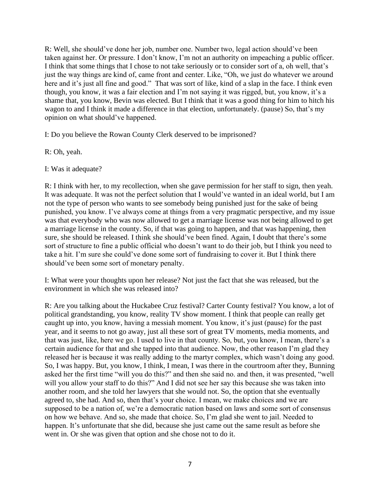R: Well, she should've done her job, number one. Number two, legal action should've been taken against her. Or pressure. I don't know, I'm not an authority on impeaching a public officer. I think that some things that I chose to not take seriously or to consider sort of a, oh well, that's just the way things are kind of, came front and center. Like, "Oh, we just do whatever we around here and it's just all fine and good." That was sort of like, kind of a slap in the face. I think even though, you know, it was a fair election and I'm not saying it was rigged, but, you know, it's a shame that, you know, Bevin was elected. But I think that it was a good thing for him to hitch his wagon to and I think it made a difference in that election, unfortunately. (pause) So, that's my opinion on what should've happened.

I: Do you believe the Rowan County Clerk deserved to be imprisoned?

- R: Oh, yeah.
- I: Was it adequate?

R: I think with her, to my recollection, when she gave permission for her staff to sign, then yeah. It was adequate. It was not the perfect solution that I would've wanted in an ideal world, but I am not the type of person who wants to see somebody being punished just for the sake of being punished, you know. I've always come at things from a very pragmatic perspective, and my issue was that everybody who was now allowed to get a marriage license was not being allowed to get a marriage license in the county. So, if that was going to happen, and that was happening, then sure, she should be released. I think she should've been fined. Again, I doubt that there's some sort of structure to fine a public official who doesn't want to do their job, but I think you need to take a hit. I'm sure she could've done some sort of fundraising to cover it. But I think there should've been some sort of monetary penalty.

I: What were your thoughts upon her release? Not just the fact that she was released, but the environment in which she was released into?

R: Are you talking about the Huckabee Cruz festival? Carter County festival? You know, a lot of political grandstanding, you know, reality TV show moment. I think that people can really get caught up into, you know, having a messiah moment. You know, it's just (pause) for the past year, and it seems to not go away, just all these sort of great TV moments, media moments, and that was just, like, here we go. I used to live in that county. So, but, you know, I mean, there's a certain audience for that and she tapped into that audience. Now, the other reason I'm glad they released her is because it was really adding to the martyr complex, which wasn't doing any good. So, I was happy. But, you know, I think, I mean, I was there in the courtroom after they, Bunning asked her the first time "will you do this?" and then she said no. and then, it was presented, "well will you allow your staff to do this?" And I did not see her say this because she was taken into another room, and she told her lawyers that she would not. So, the option that she eventually agreed to, she had. And so, then that's your choice. I mean, we make choices and we are supposed to be a nation of, we're a democratic nation based on laws and some sort of consensus on how we behave. And so, she made that choice. So, I'm glad she went to jail. Needed to happen. It's unfortunate that she did, because she just came out the same result as before she went in. Or she was given that option and she chose not to do it.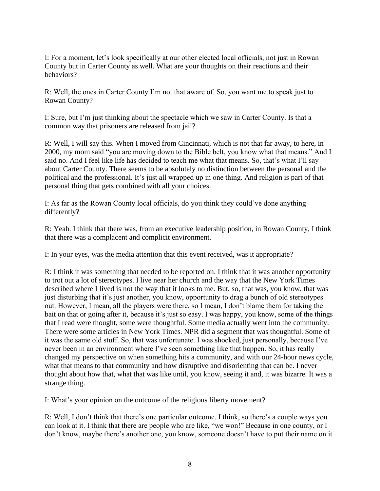I: For a moment, let's look specifically at our other elected local officials, not just in Rowan County but in Carter County as well. What are your thoughts on their reactions and their behaviors?

R: Well, the ones in Carter County I'm not that aware of. So, you want me to speak just to Rowan County?

I: Sure, but I'm just thinking about the spectacle which we saw in Carter County. Is that a common way that prisoners are released from jail?

R: Well, I will say this. When I moved from Cincinnati, which is not that far away, to here, in 2000, my mom said "you are moving down to the Bible belt, you know what that means." And I said no. And I feel like life has decided to teach me what that means. So, that's what I'll say about Carter County. There seems to be absolutely no distinction between the personal and the political and the professional. It's just all wrapped up in one thing. And religion is part of that personal thing that gets combined with all your choices.

I: As far as the Rowan County local officials, do you think they could've done anything differently?

R: Yeah. I think that there was, from an executive leadership position, in Rowan County, I think that there was a complacent and complicit environment.

I: In your eyes, was the media attention that this event received, was it appropriate?

R: I think it was something that needed to be reported on. I think that it was another opportunity to trot out a lot of stereotypes. I live near her church and the way that the New York Times described where I lived is not the way that it looks to me. But, so, that was, you know, that was just disturbing that it's just another, you know, opportunity to drag a bunch of old stereotypes out. However, I mean, all the players were there, so I mean, I don't blame them for taking the bait on that or going after it, because it's just so easy. I was happy, you know, some of the things that I read were thought, some were thoughtful. Some media actually went into the community. There were some articles in New York Times. NPR did a segment that was thoughtful. Some of it was the same old stuff. So, that was unfortunate. I was shocked, just personally, because I've never been in an environment where I've seen something like that happen. So, it has really changed my perspective on when something hits a community, and with our 24-hour news cycle, what that means to that community and how disruptive and disorienting that can be. I never thought about how that, what that was like until, you know, seeing it and, it was bizarre. It was a strange thing.

I: What's your opinion on the outcome of the religious liberty movement?

R: Well, I don't think that there's one particular outcome. I think, so there's a couple ways you can look at it. I think that there are people who are like, "we won!" Because in one county, or I don't know, maybe there's another one, you know, someone doesn't have to put their name on it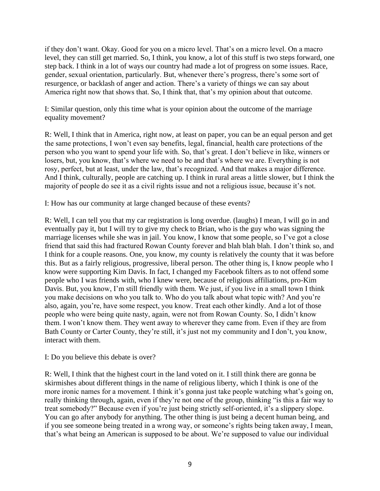if they don't want. Okay. Good for you on a micro level. That's on a micro level. On a macro level, they can still get married. So, I think, you know, a lot of this stuff is two steps forward, one step back. I think in a lot of ways our country had made a lot of progress on some issues. Race, gender, sexual orientation, particularly. But, whenever there's progress, there's some sort of resurgence, or backlash of anger and action. There's a variety of things we can say about America right now that shows that. So, I think that, that's my opinion about that outcome.

I: Similar question, only this time what is your opinion about the outcome of the marriage equality movement?

R: Well, I think that in America, right now, at least on paper, you can be an equal person and get the same protections, I won't even say benefits, legal, financial, health care protections of the person who you want to spend your life with. So, that's great. I don't believe in like, winners or losers, but, you know, that's where we need to be and that's where we are. Everything is not rosy, perfect, but at least, under the law, that's recognized. And that makes a major difference. And I think, culturally, people are catching up. I think in rural areas a little slower, but I think the majority of people do see it as a civil rights issue and not a religious issue, because it's not.

I: How has our community at large changed because of these events?

R: Well, I can tell you that my car registration is long overdue. (laughs) I mean, I will go in and eventually pay it, but I will try to give my check to Brian, who is the guy who was signing the marriage licenses while she was in jail. You know, I know that some people, so I've got a close friend that said this had fractured Rowan County forever and blah blah blah. I don't think so, and I think for a couple reasons. One, you know, my county is relatively the county that it was before this. But as a fairly religious, progressive, liberal person. The other thing is, I know people who I know were supporting Kim Davis. In fact, I changed my Facebook filters as to not offend some people who I was friends with, who I knew were, because of religious affiliations, pro-Kim Davis. But, you know, I'm still friendly with them. We just, if you live in a small town I think you make decisions on who you talk to. Who do you talk about what topic with? And you're also, again, you're, have some respect, you know. Treat each other kindly. And a lot of those people who were being quite nasty, again, were not from Rowan County. So, I didn't know them. I won't know them. They went away to wherever they came from. Even if they are from Bath County or Carter County, they're still, it's just not my community and I don't, you know, interact with them.

## I: Do you believe this debate is over?

R: Well, I think that the highest court in the land voted on it. I still think there are gonna be skirmishes about different things in the name of religious liberty, which I think is one of the more ironic names for a movement. I think it's gonna just take people watching what's going on, really thinking through, again, even if they're not one of the group, thinking "is this a fair way to treat somebody?" Because even if you're just being strictly self-oriented, it's a slippery slope. You can go after anybody for anything. The other thing is just being a decent human being, and if you see someone being treated in a wrong way, or someone's rights being taken away, I mean, that's what being an American is supposed to be about. We're supposed to value our individual